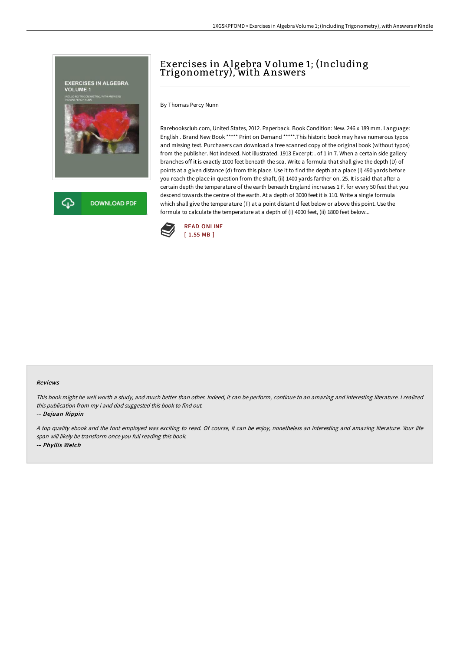

# Exercises in Algebra Volume 1; (Including Trigonometry), with A nswers

By Thomas Percy Nunn

Rarebooksclub.com, United States, 2012. Paperback. Book Condition: New. 246 x 189 mm. Language: English . Brand New Book \*\*\*\*\* Print on Demand \*\*\*\*\*.This historic book may have numerous typos and missing text. Purchasers can download a free scanned copy of the original book (without typos) from the publisher. Not indexed. Not illustrated. 1913 Excerpt: . of 1 in 7. When a certain side gallery branches off it is exactly 1000 feet beneath the sea. Write a formula that shall give the depth (D) of points at a given distance (d) from this place. Use it to find the depth at a place (i) 490 yards before you reach the place in question from the shaft, (ii) 1400 yards farther on. 25. It is said that after a certain depth the temperature of the earth beneath England increases 1 F. for every 50 feet that you descend towards the centre of the earth. At a depth of 3000 feet it is 110. Write a single formula which shall give the temperature (T) at a point distant d feet below or above this point. Use the formula to calculate the temperature at a depth of (i) 4000 feet, (ii) 1800 feet below...



#### Reviews

This book might be well worth <sup>a</sup> study, and much better than other. Indeed, it can be perform, continue to an amazing and interesting literature. <sup>I</sup> realized this publication from my i and dad suggested this book to find out.

-- Dejuan Rippin

<sup>A</sup> top quality ebook and the font employed was exciting to read. Of course, it can be enjoy, nonetheless an interesting and amazing literature. Your life span will likely be transform once you full reading this book. -- Phyllis Welch